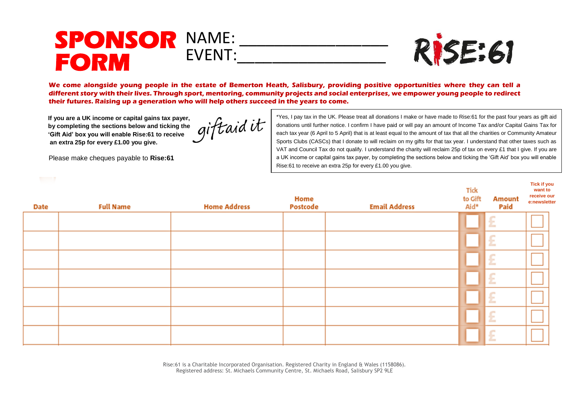## SPONSOR NAME: \_\_\_\_\_\_\_\_\_\_\_\_\_\_\_\_ **FORM**  EVENT:



**We come alongside young people in the estate of Bemerton Heath, Salisbury, providing positive opportunities where they can tell a different story with their lives. Through sport, mentoring, community projects and social enterprises, we empower young people to redirect their futures. Raising up a generation who will help others succeed in the years to come.**

**If you are a UK income or capital gains tax payer, by completing the sections below and ticking the 'Gift Aid' box you will enable Rise:61 to receive an extra 25p for every £1.00 you give.**

giftaid it

Please make cheques payable to **Rise:61**

\*Yes, I pay tax in the UK. Please treat all donations I make or have made to Rise:61 for the past four years as gift aid donations until further notice. I confirm I have paid or will pay an amount of Income Tax and/or Capital Gains Tax for each tax year (6 April to 5 April) that is at least equal to the amount of tax that all the charities or Community Amateur Sports Clubs (CASCs) that I donate to will reclaim on my gifts for that tax year. I understand that other taxes such as VAT and Council Tax do not qualify. I understand the charity will reclaim 25p of tax on every £1 that I give. If you are a UK income or capital gains tax payer, by completing the sections below and ticking the 'Gift Aid' box you will enable Rise:61 to receive an extra 25p for every £1.00 you give.

| <b>Date</b> | <b>Full Name</b> | <b>Home Address</b> | Home<br><b>Postcode</b> | <b>Email Address</b> | Tick<br>to Gift<br>Aid* | <b>Amount</b><br>Paid | <b>Tick if you</b><br>want to<br>receive our<br>e:newsletter |
|-------------|------------------|---------------------|-------------------------|----------------------|-------------------------|-----------------------|--------------------------------------------------------------|
|             |                  |                     |                         |                      |                         | £                     |                                                              |
|             |                  |                     |                         |                      |                         | £                     |                                                              |
|             |                  |                     |                         |                      |                         | £                     |                                                              |
|             |                  |                     |                         |                      |                         | £                     |                                                              |
|             |                  |                     |                         |                      |                         | £                     |                                                              |
|             |                  |                     |                         |                      |                         | £                     |                                                              |
|             |                  |                     |                         |                      |                         | £                     |                                                              |

Rise:61 is a Charitable Incorporated Organisation. Registered Charity in England & Wales (1158086). Registered address: St. Michaels Community Centre, St. Michaels Road, Salisbury SP2 9LE